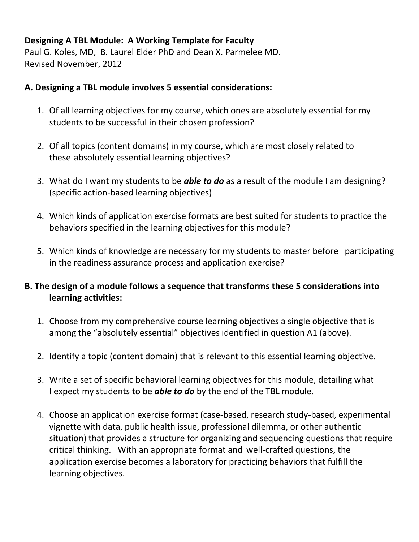## **Designing A TBL Module: A Working Template for Faculty**

Paul G. Koles, MD, B. Laurel Elder PhD and Dean X. Parmelee MD. Revised November, 2012

## **A. Designing a TBL module involves 5 essential considerations:**

- 1. Of all learning objectives for my course, which ones are absolutely essential for my students to be successful in their chosen profession?
- 2. Of all topics (content domains) in my course, which are most closely related to these absolutely essential learning objectives?
- 3. What do I want my students to be *able to do* as a result of the module I am designing? (specific action-based learning objectives)
- 4. Which kinds of application exercise formats are best suited for students to practice the behaviors specified in the learning objectives for this module?
- 5. Which kinds of knowledge are necessary for my students to master before participating in the readiness assurance process and application exercise?

## **B. The design of a module follows a sequence that transforms these 5 considerations into learning activities:**

- 1. Choose from my comprehensive course learning objectives a single objective that is among the "absolutely essential" objectives identified in question A1 (above).
- 2. Identify a topic (content domain) that is relevant to this essential learning objective.
- 3. Write a set of specific behavioral learning objectives for this module, detailing what I expect my students to be *able to do* by the end of the TBL module.
- 4. Choose an application exercise format (case-based, research study-based, experimental vignette with data, public health issue, professional dilemma, or other authentic situation) that provides a structure for organizing and sequencing questions that require critical thinking. With an appropriate format and well-crafted questions, the application exercise becomes a laboratory for practicing behaviors that fulfill the learning objectives.